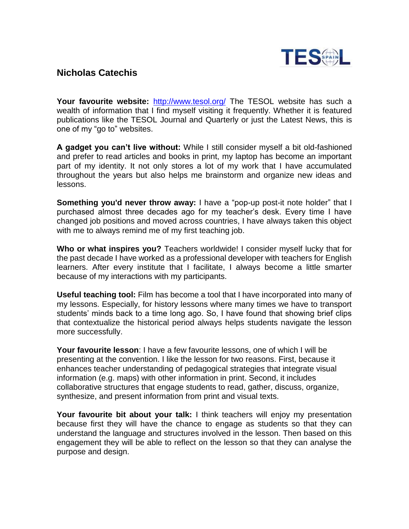

## **Nicholas Catechis**

**Your favourite website:** <http://www.tesol.org/> The TESOL website has such a wealth of information that I find myself visiting it frequently. Whether it is featured publications like the TESOL Journal and Quarterly or just the Latest News, this is one of my "go to" websites.

**A gadget you can't live without:** While I still consider myself a bit old-fashioned and prefer to read articles and books in print, my laptop has become an important part of my identity. It not only stores a lot of my work that I have accumulated throughout the years but also helps me brainstorm and organize new ideas and lessons.

**Something you'd never throw away:** I have a "pop-up post-it note holder" that I purchased almost three decades ago for my teacher's desk. Every time I have changed job positions and moved across countries, I have always taken this object with me to always remind me of my first teaching job.

**Who or what inspires you?** Teachers worldwide! I consider myself lucky that for the past decade I have worked as a professional developer with teachers for English learners. After every institute that I facilitate, I always become a little smarter because of my interactions with my participants.

**Useful teaching tool:** Film has become a tool that I have incorporated into many of my lessons. Especially, for history lessons where many times we have to transport students' minds back to a time long ago. So, I have found that showing brief clips that contextualize the historical period always helps students navigate the lesson more successfully.

**Your favourite lesson**: I have a few favourite lessons, one of which I will be presenting at the convention. I like the lesson for two reasons. First, because it enhances teacher understanding of pedagogical strategies that integrate visual information (e.g. maps) with other information in print. Second, it includes collaborative structures that engage students to read, gather, discuss, organize, synthesize, and present information from print and visual texts.

**Your favourite bit about your talk:** I think teachers will enjoy my presentation because first they will have the chance to engage as students so that they can understand the language and structures involved in the lesson. Then based on this engagement they will be able to reflect on the lesson so that they can analyse the purpose and design.